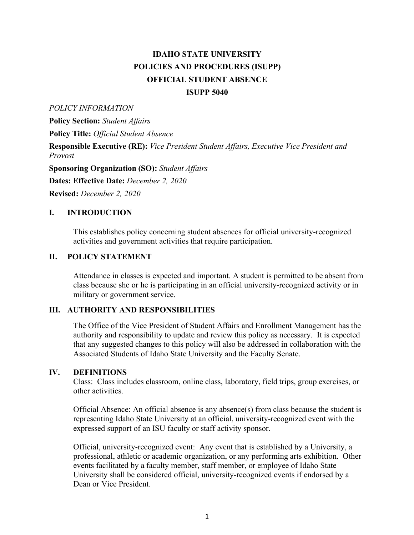# **IDAHO STATE UNIVERSITY POLICIES AND PROCEDURES (ISUPP) OFFICIAL STUDENT ABSENCE ISUPP 5040**

#### *POLICY INFORMATION*

**Policy Section:** *Student Affairs* 

 **Policy Title:** *Official Student Absence* 

 **Responsible Executive (RE):** *Vice President Student Affairs, Executive Vice President and Provost* 

 **Sponsoring Organization (SO):** *Student Affairs* 

 **Dates: Effective Date:** *December 2, 2020* 

 **Revised:** *December 2, 2020* 

#### **I. INTRODUCTION**

 This establishes policy concerning student absences for official university-recognized activities and government activities that require participation.

#### **II. POLICY STATEMENT**

 Attendance in classes is expected and important. A student is permitted to be absent from class because she or he is participating in an official university-recognized activity or in military or government service.

### **III. AUTHORITY AND RESPONSIBILITIES**

 The Office of the Vice President of Student Affairs and Enrollment Management has the authority and responsibility to update and review this policy as necessary. It is expected that any suggested changes to this policy will also be addressed in collaboration with the Associated Students of Idaho State University and the Faculty Senate.

#### **IV. DEFINITIONS**

 Class: Class includes classroom, online class, laboratory, field trips, group exercises, or other activities.

 Official Absence: An official absence is any absence(s) from class because the student is representing Idaho State University at an official, university-recognized event with the expressed support of an ISU faculty or staff activity sponsor.

 Official, university-recognized event: Any event that is established by a University, a professional, athletic or academic organization, or any performing arts exhibition. Other events facilitated by a faculty member, staff member, or employee of Idaho State University shall be considered official, university-recognized events if endorsed by a Dean or Vice President.